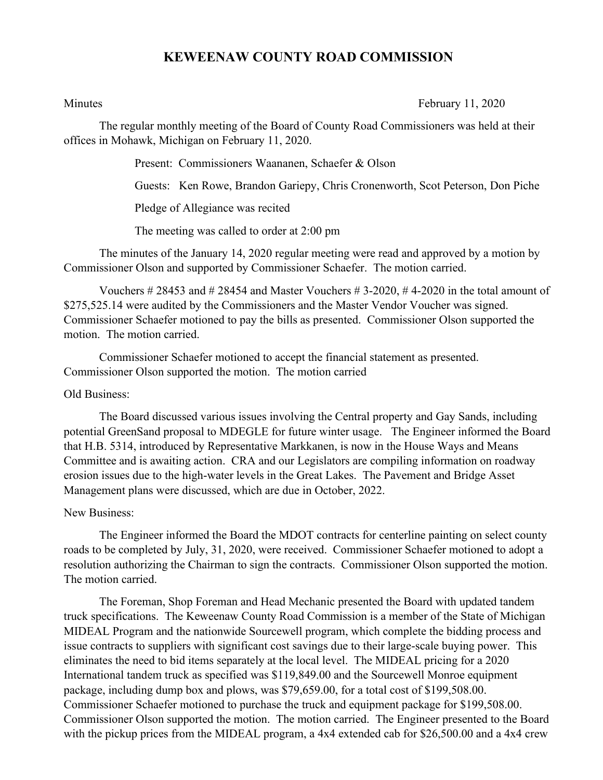## **KEWEENAW COUNTY ROAD COMMISSION**

Minutes **February 11, 2020** 

The regular monthly meeting of the Board of County Road Commissioners was held at their offices in Mohawk, Michigan on February 11, 2020.

Present: Commissioners Waananen, Schaefer & Olson

Guests: Ken Rowe, Brandon Gariepy, Chris Cronenworth, Scot Peterson, Don Piche

Pledge of Allegiance was recited

The meeting was called to order at 2:00 pm

The minutes of the January 14, 2020 regular meeting were read and approved by a motion by Commissioner Olson and supported by Commissioner Schaefer. The motion carried.

Vouchers  $\# 28453$  and  $\# 28454$  and Master Vouchers  $\# 3$ -2020,  $\# 4$ -2020 in the total amount of \$275,525.14 were audited by the Commissioners and the Master Vendor Voucher was signed. Commissioner Schaefer motioned to pay the bills as presented. Commissioner Olson supported the motion. The motion carried.

Commissioner Schaefer motioned to accept the financial statement as presented. Commissioner Olson supported the motion. The motion carried

## Old Business:

The Board discussed various issues involving the Central property and Gay Sands, including potential GreenSand proposal to MDEGLE for future winter usage. The Engineer informed the Board that H.B. 5314, introduced by Representative Markkanen, is now in the House Ways and Means Committee and is awaiting action. CRA and our Legislators are compiling information on roadway erosion issues due to the high-water levels in the Great Lakes. The Pavement and Bridge Asset Management plans were discussed, which are due in October, 2022.

## New Business:

The Engineer informed the Board the MDOT contracts for centerline painting on select county roads to be completed by July, 31, 2020, were received. Commissioner Schaefer motioned to adopt a resolution authorizing the Chairman to sign the contracts. Commissioner Olson supported the motion. The motion carried.

The Foreman, Shop Foreman and Head Mechanic presented the Board with updated tandem truck specifications. The Keweenaw County Road Commission is a member of the State of Michigan MIDEAL Program and the nationwide Sourcewell program, which complete the bidding process and issue contracts to suppliers with significant cost savings due to their large-scale buying power. This eliminates the need to bid items separately at the local level. The MIDEAL pricing for a 2020 International tandem truck as specified was \$119,849.00 and the Sourcewell Monroe equipment package, including dump box and plows, was \$79,659.00, for a total cost of \$199,508.00. Commissioner Schaefer motioned to purchase the truck and equipment package for \$199,508.00. Commissioner Olson supported the motion. The motion carried. The Engineer presented to the Board with the pickup prices from the MIDEAL program, a 4x4 extended cab for \$26,500.00 and a 4x4 crew